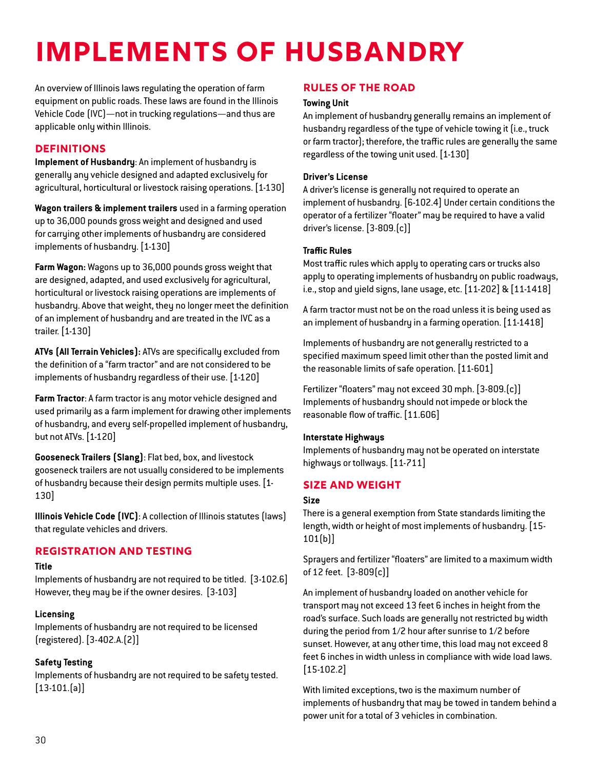# **Implements of Husbandry**

An overview of Illinois laws regulating the operation of farm equipment on public roads. These laws are found in the Illinois Vehicle Code (IVC)—not in trucking regulations—and thus are applicable only within Illinois.

## **Definitions**

**Implement of Husbandry**: An implement of husbandry is generally any vehicle designed and adapted exclusively for agricultural, horticultural or livestock raising operations. [1-130]

**Wagon trailers & implement trailers** used in a farming operation up to 36,000 pounds gross weight and designed and used for carrying other implements of husbandry are considered implements of husbandry. [1-130]

**Farm Wagon:** Wagons up to 36,000 pounds gross weight that are designed, adapted, and used exclusively for agricultural, horticultural or livestock raising operations are implements of husbandry. Above that weight, they no longer meet the definition of an implement of husbandry and are treated in the IVC as a trailer. [1-130]

**ATVs (All Terrain Vehicles):** ATVs are specifically excluded from the definition of a "farm tractor" and are not considered to be implements of husbandry regardless of their use. [1-120]

**Farm Tractor**: A farm tractor is any motor vehicle designed and used primarily as a farm implement for drawing other implements of husbandry, and every self-propelled implement of husbandry, but not ATVs. [1-120]

**Gooseneck Trailers (Slang)**: Flat bed, box, and livestock gooseneck trailers are not usually considered to be implements of husbandry because their design permits multiple uses. [1- 130]

**Illinois Vehicle Code (IVC)**: A collection of Illinois statutes (laws) that regulate vehicles and drivers.

# **Registration and Testing**

# **Title**

Implements of husbandry are not required to be titled. [3-102.6] However, they may be if the owner desires. [3-103]

# **Licensing**

Implements of husbandry are not required to be licensed (registered). [3-402.A.(2)]

# **Safety Testing**

Implements of husbandry are not required to be safety tested. [13-101.(a)]

# **Rules of the Road**

# **Towing Unit**

An implement of husbandry generally remains an implement of husbandry regardless of the type of vehicle towing it (i.e., truck or farm tractor); therefore, the traffic rules are generally the same regardless of the towing unit used. [1-130]

# **Driver's License**

A driver's license is generally not required to operate an implement of husbandry. [6-102.4] Under certain conditions the operator of a fertilizer "floater" may be required to have a valid driver's license. [3-809.(c)]

### **Traffic Rules**

Most traffic rules which apply to operating cars or trucks also apply to operating implements of husbandry on public roadways, i.e., stop and yield signs, lane usage, etc. [11-202] & [11-1418]

A farm tractor must not be on the road unless it is being used as an implement of husbandry in a farming operation. [11-1418]

Implements of husbandry are not generally restricted to a specified maximum speed limit other than the posted limit and the reasonable limits of safe operation. [11-601]

Fertilizer "floaters" may not exceed 30 mph. [3-809.(c)] Implements of husbandry should not impede or block the reasonable flow of traffic. [11.606]

## **Interstate Highways**

Implements of husbandry may not be operated on interstate highways or tollways. [11-711]

# **Size and Weight**

#### **Size**

There is a general exemption from State standards limiting the length, width or height of most implements of husbandry. [15- 101(b)]

Sprayers and fertilizer "floaters" are limited to a maximum width of 12 feet. [3-809(c)]

An implement of husbandry loaded on another vehicle for transport may not exceed 13 feet 6 inches in height from the road's surface. Such loads are generally not restricted by width during the period from 1/2 hour after sunrise to 1/2 before sunset. However, at any other time, this load may not exceed 8 feet 6 inches in width unless in compliance with wide load laws. [15-102.2]

With limited exceptions, two is the maximum number of implements of husbandry that may be towed in tandem behind a power unit for a total of 3 vehicles in combination.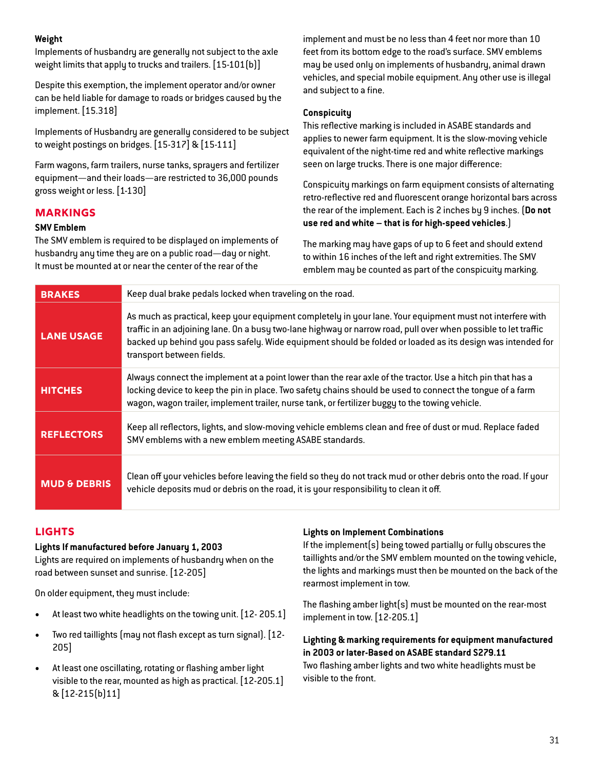## **Weight**

Implements of husbandry are generally not subject to the axle weight limits that apply to trucks and trailers. [15-101[b]]

Despite this exemption, the implement operator and/or owner can be held liable for damage to roads or bridges caused by the implement. [15.318]

Implements of Husbandry are generally considered to be subject to weight postings on bridges. [15-317] & [15-111]

Farm wagons, farm trailers, nurse tanks, sprayers and fertilizer equipment—and their loads—are restricted to 36,000 pounds gross weight or less. [1-130]

## **Markings**

#### **SMV Emblem**

The SMV emblem is required to be displayed on implements of husbandry any time they are on a public road—day or night. It must be mounted at or near the center of the rear of the

implement and must be no less than 4 feet nor more than 10 feet from its bottom edge to the road's surface. SMV emblems may be used only on implements of husbandry, animal drawn vehicles, and special mobile equipment. Any other use is illegal and subject to a fine.

#### **Conspicuity**

This reflective marking is included in ASABE standards and applies to newer farm equipment. It is the slow-moving vehicle equivalent of the night-time red and white reflective markings seen on large trucks. There is one major difference:

Conspicuity markings on farm equipment consists of alternating retro-reflective red and fluorescent orange horizontal bars across the rear of the implement. Each is 2 inches by 9 inches. (**Do not use red and white – that is for high-speed vehicles**.)

The marking may have gaps of up to 6 feet and should extend to within 16 inches of the left and right extremities. The SMV emblem may be counted as part of the conspicuity marking.

| <b>BRAKES</b>           | Keep dual brake pedals locked when traveling on the road.                                                                                                                                                                                                                                                                                                               |
|-------------------------|-------------------------------------------------------------------------------------------------------------------------------------------------------------------------------------------------------------------------------------------------------------------------------------------------------------------------------------------------------------------------|
| <b>LANE USAGE</b>       | As much as practical, keep your equipment completely in your lane. Your equipment must not interfere with<br>traffic in an adjoining lane. On a busy two-lane highway or narrow road, pull over when possible to let traffic<br>backed up behind you pass safely. Wide equipment should be folded or loaded as its design was intended for<br>transport between fields. |
| <b>HITCHES</b>          | Always connect the implement at a point lower than the rear axle of the tractor. Use a hitch pin that has a<br>locking device to keep the pin in place. Two safety chains should be used to connect the tongue of a farm<br>wagon, wagon trailer, implement trailer, nurse tank, or fertilizer buggy to the towing vehicle.                                             |
| <b>REFLECTORS</b>       | Keep all reflectors, lights, and slow-moving vehicle emblems clean and free of dust or mud. Replace faded<br>SMV emblems with a new emblem meeting ASABE standards.                                                                                                                                                                                                     |
| <b>MUD &amp; DEBRIS</b> | Clean off your vehicles before leaving the field so they do not track mud or other debris onto the road. If your<br>vehicle deposits mud or debris on the road, it is your responsibility to clean it off.                                                                                                                                                              |

## **Lights**

#### **Lights If manufactured before January 1, 2003**

Lights are required on implements of husbandry when on the road between sunset and sunrise. [12-205]

On older equipment, they must include:

- At least two white headlights on the towing unit. [12- 205.1]
- Two red taillights (may not flash except as turn signal). [12- 205]
- At least one oscillating, rotating or flashing amber light visible to the rear, mounted as high as practical. [12-205.1] & [12-215(b)11]

#### **Lights on Implement Combinations**

If the implement(s) being towed partially or fully obscures the taillights and/or the SMV emblem mounted on the towing vehicle, the lights and markings must then be mounted on the back of the rearmost implement in tow.

The flashing amber light(s) must be mounted on the rear-most implement in tow. [12-205.1]

## **Lighting & marking requirements for equipment manufactured in 2003 or later-Based on ASABE standard S279.11**

Two flashing amber lights and two white headlights must be visible to the front.